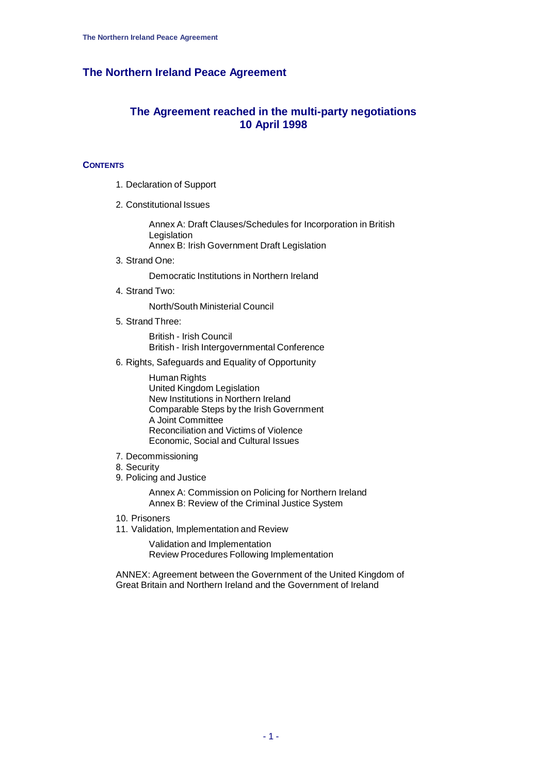# **The Northern Ireland Peace Agreement**

# **The Agreement reached in the multi-party negotiations 10 April 1998**

#### **CONTENTS**

- 1. Declaration of Support
- 2. Constitutional Issues

Annex A: Draft Clauses/Schedules for Incorporation in British Legislation Annex B: Irish Government Draft Legislation

3. Strand One:

Democratic Institutions in Northern Ireland

4. Strand Two:

North/South Ministerial Council

5. Strand Three:

British - Irish Council British- Irish Intergovernmental Conference

6. Rights, Safeguards and Equality of Opportunity

Human Rights United Kingdom Legislation New Institutions in Northern Ireland Comparable Steps by the Irish Government A Joint Committee Reconciliation and Victims of Violence Economic, Social and Cultural Issues

- 7. Decommissioning
- 8. Security
- 9. Policing and Justice

Annex A: Commission on Policing for Northern Ireland Annex B: Review of the Criminal Justice System

- 10. Prisoners
- 11. Validation, Implementation and Review

Validation and Implementation Review Procedures Following Implementation

ANNEX: Agreement between the Government of the United Kingdom of Great Britain and Northern Ireland and the Government of Ireland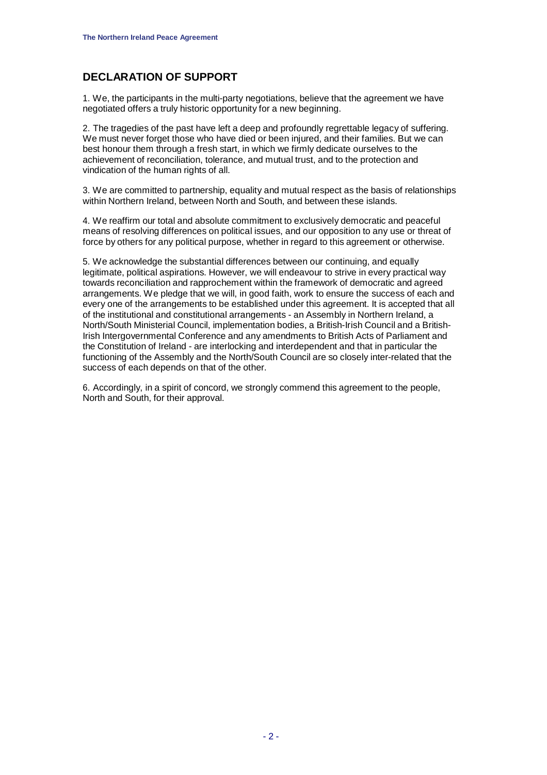# **DECLARATION OF SUPPORT**

1. We, the participants in the multi-party negotiations, believe that the agreement we have negotiated offers a truly historic opportunity for a new beginning.

2. The tragedies of the past have left a deep and profoundly regrettable legacyof suffering. We must never forget those who have died or been injured, and their families. But we can best honour them through a fresh start, in which we firmly dedicate ourselves to the achievement of reconciliation, tolerance, and mutual trust, and to the protection and vindication of the human rights of all.

3. We are committed to partnership, equality and mutual respect as the basis of relationships within Northern Ireland, between North and South, and between these islands.

4. We reaffirm our total and absolute commitment to exclusivelydemocratic and peaceful means of resolving differences on political issues, and our opposition to any use or threat of force byothers for any political purpose, whether in regard to this agreement or otherwise.

5. We acknowledge the substantial differences between our continuing, and equally legitimate, political aspirations. However, we will endeavour to strive in every practical way towards reconciliation and rapprochement within the framework of democratic and agreed arrangements. We pledge that we will, in good faith, work to ensure the success of each and every one of the arrangements to be established under this agreement. It is accepted that all of the institutional and constitutional arrangements - an Assembly in Northern Ireland, a North/South Ministerial Council, implementation bodies, a British-Irish Counciland a British-Irish Intergovernmental Conference and anyamendments to British Acts of Parliament and the Constitution of Ireland - are interlocking and interdependent and that in particular the functioning of the Assembly and the North/South Council are so closely inter-related that the success of each depends on that of the other.

6. Accordingly, in a spirit of concord, we strongly commend this agreement to the people, North and South, for their approval.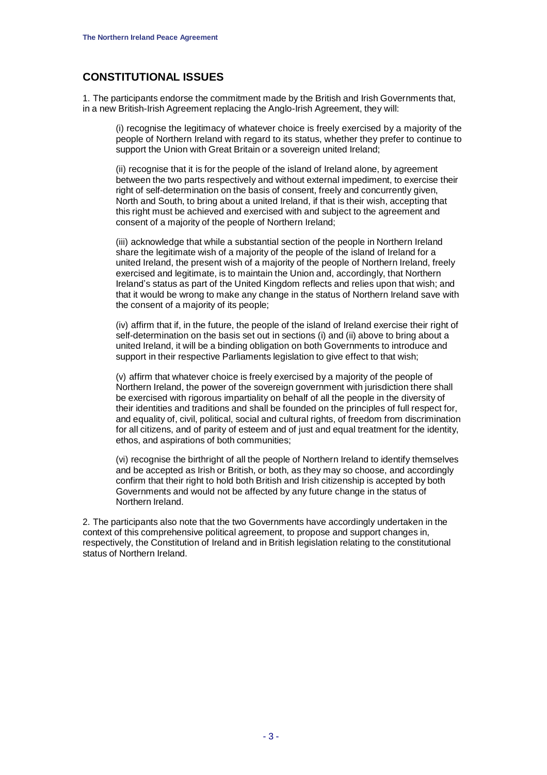## **CONSTITUTIONAL ISSUES**

1. The participants endorse the commitment made by the British and Irish Governments that, in a new British-Irish Agreement replacing the Anglo-Irish Agreement, they will:

(i) recognise the legitimacy of whatever choice is freely exercised by a majority of the people of Northern Ireland with regard to its status, whether they prefer to continue to support the Union with Great Britain or a sovereign united Ireland:

(ii) recognise that it is for the people of the island of Ireland alone, by agreement between the two parts respectively and without external impediment, to exercise their right of self-determination on the basis of consent, freely and concurrently given, North and South, to bring about a united Ireland, if that is their wish, accepting that this right must be achieved and exercised with and subject to the agreement and consent of a majority of the people of Northern Ireland;

(iii) acknowledge that while a substantial section of the people in Northern Ireland share the legitimate wish of a majority of the people of the island of Ireland for a united Ireland, the present wish of a majority of the people of Northern Ireland, freely exercised and legitimate, is to maintain the Union and, accordingly, that Northern Ireland's status as part of the United Kingdom reflects and relies upon that wish; and that it would be wrong to make any change in the status of Northern Ireland save with the consent of a majority of its people;

(iv) affirm that if, in the future, the people of the island of Ireland exercise their right of self-determination on the basis set out in sections (i) and (ii) above to bring about a united Ireland, it will be a binding obligation on both Governments to introduce and support in their respective Parliaments legislation to give effect to that wish;

(v) affirm that whatever choice is freelyexercised bya majority of the people of Northern Ireland, the power of the sovereign government with jurisdiction there shall be exercised with rigorous impartiality on behalf of all the people in the diversityof their identities and traditions and shall be founded on the principles of full respect for, and equality of, civil, political, social and cultural rights, of freedom from discrimination for all citizens, and of parity of esteem and of just and equal treatment for the identity. ethos, and aspirations of both communities;

(vi) recognise the birthright of all the people of Northern Ireland to identify themselves and be accepted as Irish or British, or both, as they may so choose, and accordingly confirm that their right to hold both British and Irish citizenship is accepted by both Governments and would not be affected by any future change in the status of Northern Ireland.

2. The participants also note that the two Governments have accordingly undertaken in the context of this comprehensive political agreement, to propose and support changes in, respectively, the Constitution of Ireland and in British legislation relating to the constitutional status of Northern Ireland.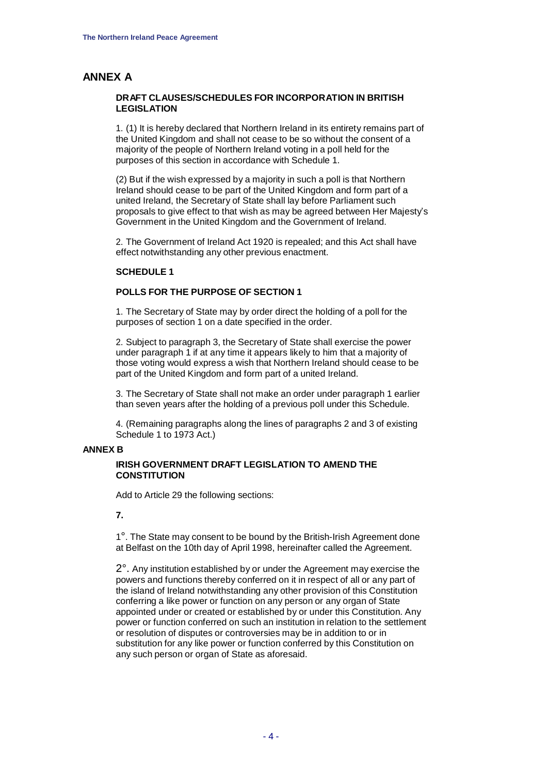## **ANNEX A**

#### **DRAFT CLAUSES/SCHEDULES FOR INCORPORATION IN BRITISH LEGISLATION**

1. (1) It is hereby declared that Northern Ireland in its entirety remains part of the United Kingdom and shall not cease to be so without the consent of a majority of the people of Northern Ireland voting in a poll held for the purposes of this section in accordance with Schedule 1.

(2) But if the wish expressed by a majority in such a poll is that Northern Ireland should cease to be part of the United Kingdom and form part of a united Ireland, the Secretary of State shall lay before Parliament such proposals to give effect to that wish as may be agreed between Her Majesty's Government in the United Kingdom and the Government of Ireland.

2. The Government of Ireland Act 1920 is repealed; and this Act shall have effect notwithstanding anyother previous enactment.

#### **SCHEDULE 1**

#### **POLLS FOR THE PURPOSE OF SECTION 1**

1. The Secretary of State may by order direct the holding of a poll for the purposes of section 1 on a date specified in the order.

2. Subject to paragraph 3, the Secretary of State shall exercise the power under paragraph 1 if at any time it appears likely to him that a majority of those voting would express a wish that Northern Ireland should cease to be part of the United Kingdom and form part of a united Ireland.

3. The Secretary of State shall not make an order under paragraph 1 earlier than seven years after the holding of a previous poll under this Schedule.

4. (Remaining paragraphs along the lines of paragraphs 2 and 3 of existing Schedule 1 to 1973 Act.)

#### **ANNEX B**

#### **IRISH GOVERNMENT DRAFT LEGISLATION TO AMEND THE CONSTITUTION**

Add to Article 29 the following sections:

#### **7.**

1°. The State may consent to be bound by the British-Irish Agreement done at Belfast on the 10th day of April 1998, hereinafter called the Agreement.

2°. Any institution established byor under the Agreement mayexercise the powers and functions thereby conferred on it in respect of all or any part of the island of Ireland notwithstanding anyother provision of this Constitution conferring a like power or function on any person or any organ of State appointed under or created or established by or under this Constitution. Any power or function conferred on such an institution in relation to the settlement or resolution of disputes or controversies may be in addition to or in substitution for any like power or function conferred by this Constitution on any such person or organ of State as aforesaid.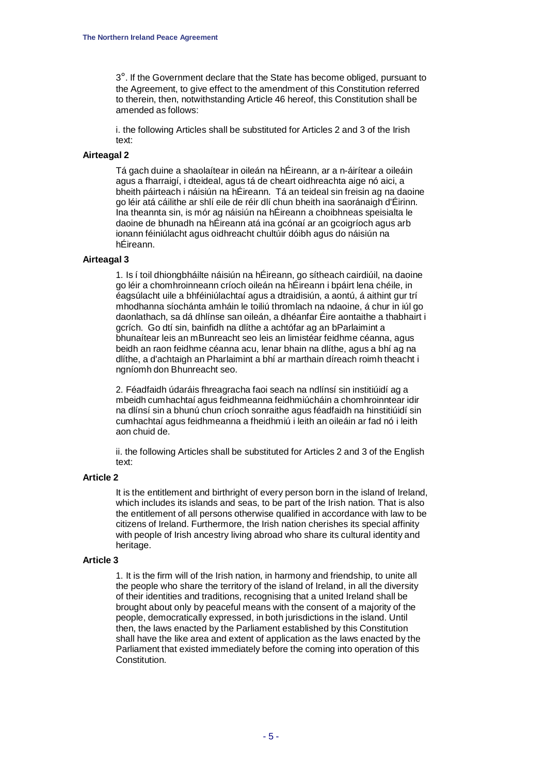3°. If the Government declare that the State has become obliged, pursuant to the Agreement, to give effect to the amendment of this Constitution referred to therein, then, notwithstanding Article 46 hereof, this Constitution shall be amended as follows:

i. the following Articles shall be substituted for Articles 2 and 3 of the Irish text:

#### **Airteagal 2**

Tá gach duine a shaolaítear in oileán na hÉireann, ar a n-áirítear a oileáin agus a fharraigí, i dteideal, agus tá de cheart oidhreachta aige nó aici, a bheith páirteach i náisiún na hÉireann. Tá an teideal sin freisin ag na daoine go léir atá cáilithe ar shlí eile de réir dlí chun bheith ina saoránaigh d'Éirinn. Ina theannta sin, is mór ag náisiún na hÉireann a choibhneas speisialta le daoine de bhunadh na hÉireann atá ina gcónaí ar an gcoigríoch agus arb ionann féiniúlacht agus oidhreacht chultúir dóibh agus do náisiún na hÉireann.

#### **Airteagal 3**

1. Is í toil dhiongbháilte náisiún na hÉireann, go sítheach cairdiúil, na daoine go léir a chomhroinneann críoch oileán na hÉireann i bpáirt lena chéile, in éagsúlacht uile a bhféiniúlachtaí agus a dtraidisiún, a aontú, á aithint gur trí mhodhanna síochánta amháin le toiliú thromlach na ndaoine, á chur in iúl go daonlathach, sa dá dhlínse san oileán, a dhéanfar Éire aontaithe a thabhairt i gcrích. Go dtí sin, bainfidh na dlíthe a achtófar ag an bParlaimint a bhunaítear leis an mBunreacht seo leis an limistéar feidhme céanna, agus beidh an raon feidhme céanna acu, lenar bhain na dlíthe, agus a bhí ag na dlíthe, a d'achtaigh an Pharlaimint a bhí ar marthain díreach roimh theacht i ngníomhdon Bhunreacht seo.

2. Féadfaidh údaráis fhreagracha faoi seach na ndlínsí sin institiúidí ag a mbeidh cumhachtaí agus feidhmeanna feidhmiúcháin a chomhroinntear idir na dlínsí sin a bhunú chun críoch sonraithe agus féadfaidh na hinstitiúidí sin cumhachtaí agus feidhmeanna a fheidhmiú i leith an oileáin ar fad nó i leith aon chuid de.

ii. the following Articles shall be substituted for Articles 2 and 3 of the English text:

#### **Article 2**

It is the entitlement and birthright of every person born in the island of Ireland, which includes its islands and seas, to be part of the Irish nation. That is also the entitlement of all persons otherwise qualified in accordance with law to be citizens of Ireland. Furthermore, the Irish nation cherishes its special affinity with people of Irish ancestry living abroad who share its cultural identity and heritage.

#### **Article 3**

1. It is the firm will of the Irish nation, in harmony and friendship, to unite all the people who share the territory of the island of Ireland, in all the diversity of their identities and traditions, recognising that a united Ireland shall be brought about only by peaceful means with the consent of a majority of the people, democratically expressed, inboth jurisdictions in the island. Until then, the laws enacted by the Parliament established by this Constitution shall have the like area and extent of application as the laws enacted by the Parliament that existed immediately before the coming into operation of this Constitution.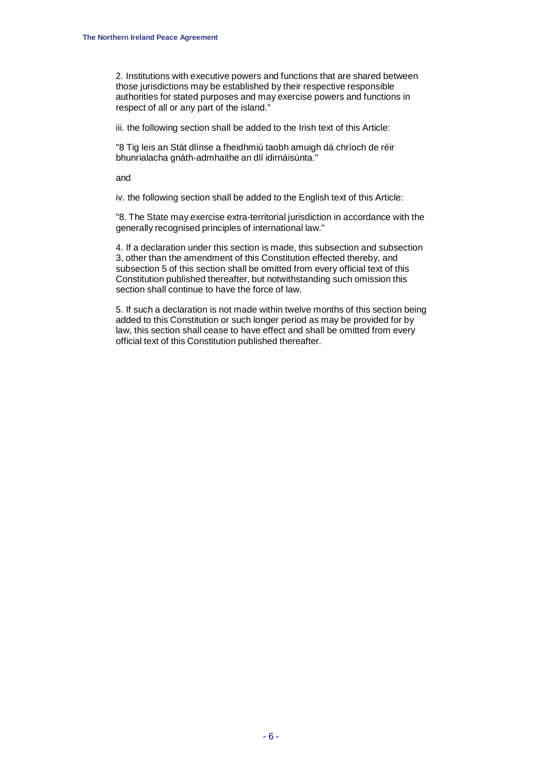2. Institutions with executive powers and functions that are shared between those jurisdictions maybe established by their respective responsible authorities for stated purposes and mayexercise powers and functions in respect of all or any part of the island."

iii. the following section shall be added to the Irish text of this Article:

"8 Tig leis an Stát dlínse a fheidhmiú taobh amuigh dá chríoch de réir bhunrialacha gnáth-admhaithe an dlí idirnáisúnta."

and

iv. the following section shall be added to the English text of this Article:

"8. The State mayexercise extra-territorial jurisdiction in accordance with the generally recognised principles of international law."

4. If a declaration under this section is made, this subsection and subsection 3, other than the amendment of this Constitution effected thereby, and subsection 5 of this section shall be omitted from every official text of this Constitution published thereafter, but notwithstanding such omission this section shall continue to have the force of law.

5. If such a declaration is not made within twelve months of this section being added to this Constitution or such longer period as may be provided for by law, this section shall cease to have effect and shall be omitted from every official text of this Constitution published thereafter.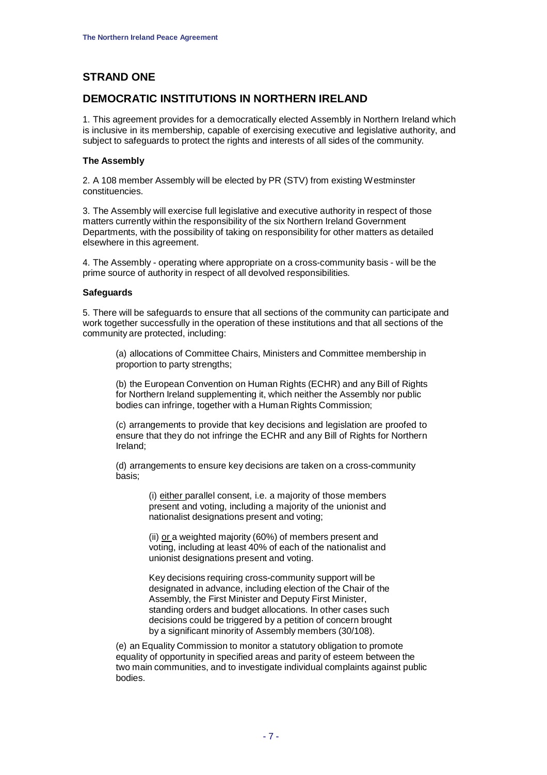# **STRAND ONE**

## **DEMOCRATIC INSTITUTIONS IN NORTHERN IRELAND**

1. This agreement provides for a democratically elected Assembly in Northern Ireland which is inclusive in its membership, capable of exercising executive and legislative authority, and subject to safeguards to protect the rights and interests of all sides of the community.

#### **The Assembly**

2. A 108 member Assembly will be elected by PR (STV) from existing Westminster constituencies.

3. The Assembly will exercise full legislative and executive authority in respect of those matters currently within the responsibilityof the six Northern Ireland Government Departments, with the possibility of taking on responsibility for other matters as detailed elsewhere in this agreement.

4. The Assembly - operating where appropriate on a cross-communitybasis - will be the prime source of authority in respect of all devolved responsibilities.

#### **Safeguards**

5. There will be safeguards to ensure that all sections of the community can participate and work together successfully in the operation of these institutions and that all sections of the communityare protected, including:

(a) allocations of Committee Chairs, Ministers and Committee membership in proportion to party strengths;

(b) the European Convention on Human Rights (ECHR) and any Bill of Rights for Northern Ireland supplementing it, which neither the Assembly nor public bodies can infringe, together with a Human Rights Commission;

(c) arrangements to provide that key decisions and legislation are proofed to ensure that they do not infringe the ECHR and any Bill of Rights for Northern Ireland;

(d) arrangements to ensure keydecisions are taken on a cross-community basis;

> (i) either parallel consent, i.e. a majority of those members present and voting, including a majority of the unionist and nationalist designations present and voting;

> (ii) or a weighted majority (60%) of members present and voting, including at least 40% of each of the nationalist and unionist designations present and voting.

Key decisions requiring cross-community support will be designated in advance, including election of the Chair of the Assembly, the First Minister and Deputy First Minister, standing orders and budget allocations. In other cases such decisions could be triggered by a petition of concern brought bya significant minorityof Assembly members (30/108).

(e) an Equality Commission to monitor a statutory obligation to promote equality of opportunity in specified areas and parityof esteem between the two main communities, and to investigate individual complaints against public bodies.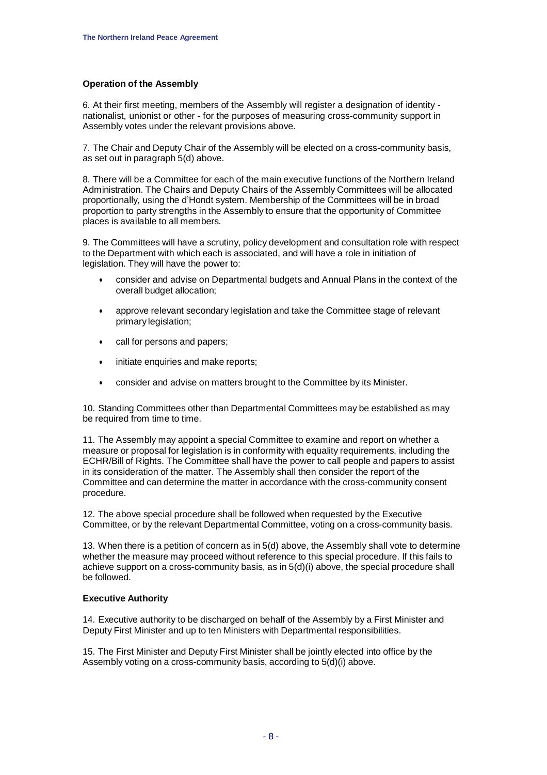#### **Operation of the Assembly**

6. At their first meeting, members of the Assembly will register a designation of identity nationalist, unionist or other - for the purposes of measuring cross-community support in Assembly votes under the relevant provisions above.

7. The Chair and Deputy Chair of the Assembly will be elected on a cross-community basis, as set out in paragraph 5(d) above.

8. There will be a Committee for each of the main executive functions of the Northern Ireland Administration. The Chairs and Deputy Chairs of the Assembly Committees will be allocated proportionally, using the d'Hondt system. Membership of the Committees will be in broad proportion to party strengths in the Assembly to ensure that the opportunity of Committee places is available to all members.

9. The Committees will have a scrutiny, policy development and consultation role with respect to the Department with which each is associated, and will have a role in initiation of legislation. They will have the power to:

- consider and advise on Departmental budgets and Annual Plans in the context of the overall budget allocation:
- approve relevant secondary legislation and take the Committee stage of relevant primary legislation;
- call for persons and papers;
- $\bullet$  initiate enquiries and make reports;
- consider and advise on matters brought to the Committee by its Minister.

10. Standing Committees other than Departmental Committees maybe established as may be required from time to time.

11. The Assembly may appoint a special Committee to examine and report on whether a measure or proposal for legislation is in conformity with equality requirements, including the ECHR/Bill of Rights. The Committee shall have the power to call people and papers to assist in its consideration of the matter. The Assembly shall then consider the report of the Committee and candetermine the matter in accordance withthe cross-community consent procedure.

12. The above special procedure shall be followed when requested by the Executive Committee, or by the relevant Departmental Committee, voting on a cross-communitybasis.

13. When there is a petition of concern as in 5(d) above, the Assembly shall vote to determine whether the measure may proceed without reference to this special procedure. If this fails to achieve support on a cross-community basis, as in 5(d)(i) above, the special procedure shall be followed.

#### **Executive Authority**

14. Executive authority to be discharged on behalf of the Assembly by a First Minister and Deputy First Minister and up to ten Ministers with Departmental responsibilities.

15. The First Minister and Deputy First Minister shall be jointly elected into office by the Assembly voting on a cross-community basis, according to 5(d)(i) above.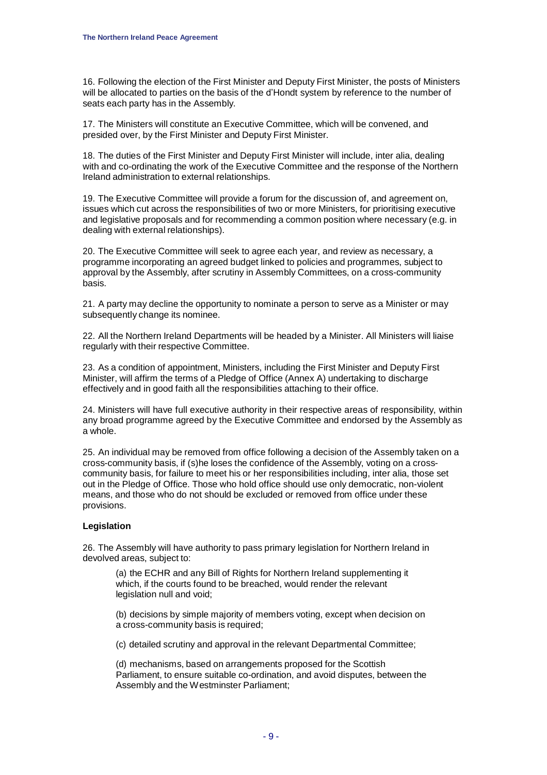16. Following the election of the First Minister and Deputy First Minister, the posts of Ministers will be allocated to parties on the basis of the d'Hondt system by reference to the number of seats each party has in the Assembly.

17. The Ministers will constitute an Executive Committee, which will be convened, and presided over, by the First Minister and Deputy First Minister.

18. The duties of the First Minister and Deputy First Minister will include, inter alia, dealing with and co-ordinating the work of the Executive Committee and the response of the Northern Ireland administration to external relationships.

19. The Executive Committee will provide a forum for the discussion of, and agreement on, issues which cut across the responsibilities of two or more Ministers, for prioritising executive and legislative proposals and for recommending a common position where necessary (e.g. in dealing with external relationships).

20. The Executive Committee will seek to agree each year, and review as necessary, a programme incorporating an agreed budget linked to policies and programmes, subject to approval by the Assembly, after scrutiny in Assembly Committees, on a cross-community basis.

21. A party may decline the opportunity to nominate a person to serve as a Minister or may subsequently change its nominee.

22. All the Northern Ireland Departments will be headed by a Minister. All Ministers will liaise regularly with their respective Committee.

23. As a condition of appointment, Ministers, including the First Minister and Deputy First Minister, will affirm the terms of a Pledge of Office (Annex A) undertaking to discharge effectively and in good faith all the responsibilities attaching to their office.

24. Ministers will have full executive authority in their respective areas of responsibility, within any broad programme agreed by the Executive Committee and endorsed by the Assembly as a whole.

25. An individual may be removed from office following a decision of the Assembly taken on a cross-community basis, if (s)he loses the confidence of the Assembly, voting on a crosscommunity basis, for failure to meet his or her responsibilities including, inter alia, those set out in the Pledge of Office. Those who hold office should use only democratic, non-violent means, and those who do not should be excluded or removed from office under these provisions.

#### **Legislation**

26. The Assembly will have authority to pass primary legislation for Northern Ireland in devolved areas, subject to:

(a) the ECHR and any Bill of Rights for Northern Ireland supplementing it which, if the courts found to be breached, would render the relevant legislation null and void;

(b) decisions by simple majority of members voting, except when decision on a cross-community basis is required;

(c) detailed scrutiny and approval in the relevant Departmental Committee;

(d) mechanisms, based on arrangements proposed for the Scottish Parliament, to ensure suitable co-ordination, and avoid disputes, between the Assembly and the Westminster Parliament;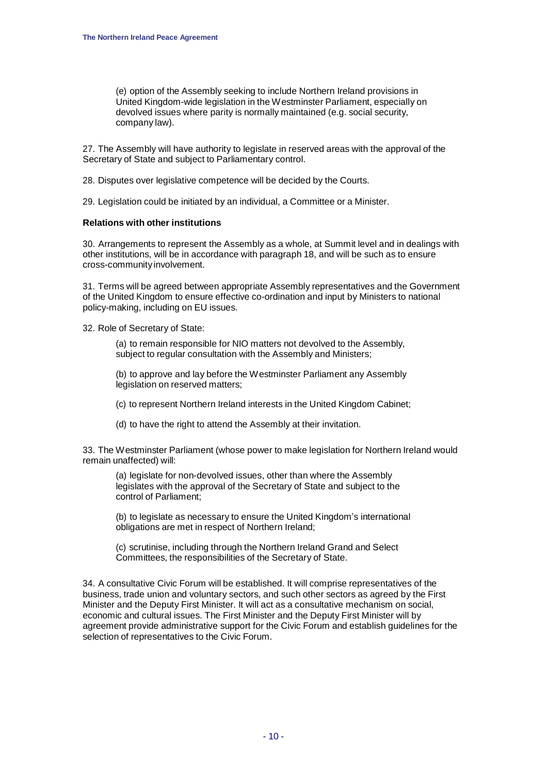(e) option of the Assembly seeking to include Northern Ireland provisions in United Kingdom-wide legislation in the Westminster Parliament, especiallyon devolved issues where parity is normally maintained (e.g. social security, company law).

27. The Assembly will have authority to legislate in reserved areas with the approval of the Secretary of State and subject to Parliamentary control.

28. Disputes over legislative competence will be decided by the Courts.

29. Legislation could be initiated by an individual, a Committee or a Minister.

#### **Relations with other institutions**

30. Arrangements to represent the Assembly as a whole, at Summit level and in dealings with other institutions, will be in accordance with paragraph 18, and will be such as to ensure cross-communityinvolvement.

31. Terms will be agreed between appropriate Assembly representatives and the Government of the United Kingdom to ensure effective co-ordination and input by Ministers to national policy-making, including on EU issues.

32. Role of Secretary of State:

(a) to remain responsible for NIO matters not devolved to the Assembly, subject to regular consultation with the Assembly and Ministers;

(b) to approve and laybefore the Westminster Parliament any Assembly legislation on reserved matters;

- (c) to represent Northern Ireland interests in the United Kingdom Cabinet;
- (d) to have the right to attend the Assembly at their invitation.

33. The Westminster Parliament (whose power to make legislation for Northern Ireland would remain unaffected) will:

(a) legislate for non-devolved issues, other than where the Assembly legislates with the approval of the Secretary of State and subject to the control of Parliament;

(b) to legislate as necessary to ensure the United Kingdom's international obligations are met in respect of Northern Ireland;

(c) scrutinise, including through the Northern Ireland Grand and Select Committees, the responsibilities of the Secretaryof State.

34. A consultative Civic Forum willbe established. It will comprise representatives of the business, trade union and voluntary sectors, and such other sectors as agreed by the First Minister and the Deputy First Minister. It will act as a consultative mechanism on social, economic and cultural issues. The First Minister and the Deputy First Minister will by agreement provide administrative support for the Civic Forum and establish guidelines for the selection of representatives to the Civic Forum.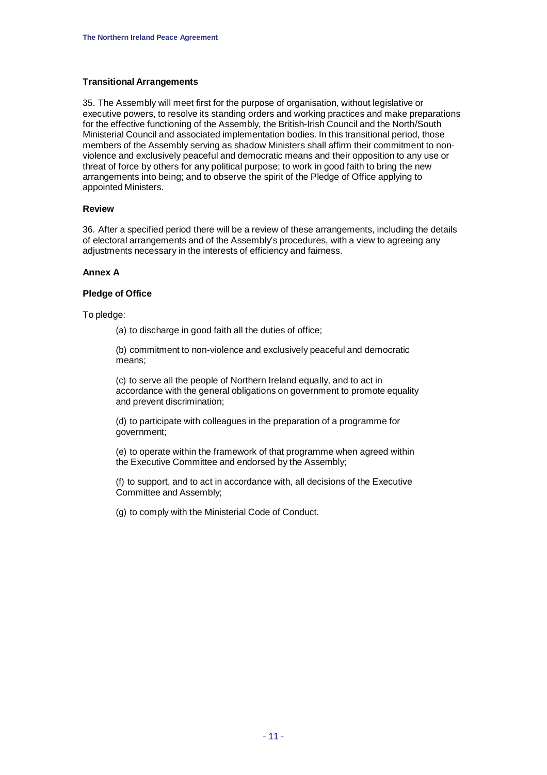#### **Transitional Arrangements**

35. The Assembly will meet first for the purpose of organisation, without legislative or executive powers, to resolve its standing orders and working practices and make preparations for the effective functioning of the Assembly, the British-Irish Council and the North/South Ministerial Council and associated implementation bodies. In this transitional period, those members of the Assembly serving as shadow Ministers shall affirm their commitment to nonviolence and exclusively peaceful and democratic means and their opposition to any use or threat of force by others for anypolitical purpose; to work in good faith to bring the new arrangements into being; and to observe the spirit of the Pledge of Office applying to appointed Ministers.

#### **Review**

36. After a specified period there will be a review of these arrangements, including the details of electoral arrangements and of the Assembly's procedures, with a view to agreeing any adjustments necessary in the interests of efficiencyand fairness.

#### **Annex A**

#### **Pledge of Office**

To pledge:

(a) to discharge in good faith all the duties of office;

(b) commitment to non-violence and exclusivelypeacefuland democratic means;

(c) to serve all the people of Northern Ireland equally, and to act in accordance with the general obligations on government to promote equality and prevent discrimination;

(d) to participate with colleagues in the preparation of a programme for government;

(e) to operate within the framework of that programme when agreed within the Executive Committee and endorsed by the Assembly;

(f) to support, and to act in accordance with, all decisions of the Executive Committee and Assembly;

(g) to comply with the Ministerial Code of Conduct.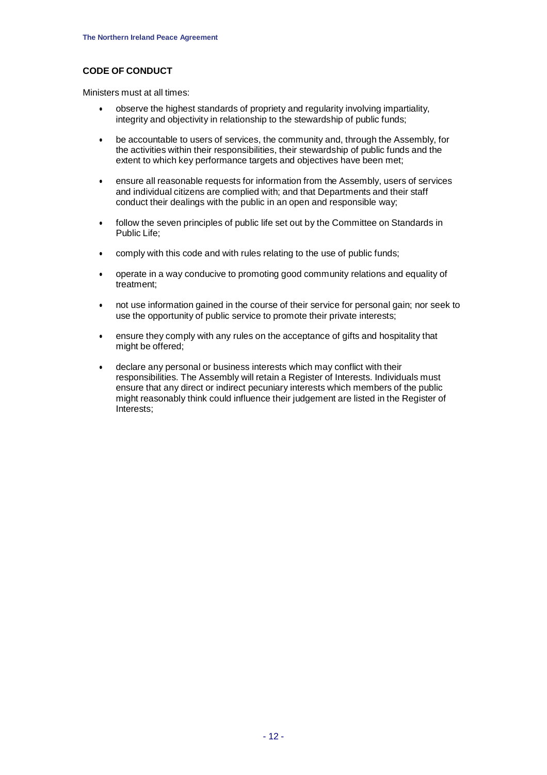#### **CODE OF CONDUCT**

Ministers must at all times:

- observe the highest standards of propriety and regularity involving impartiality, integrity and objectivity in relationship to the stewardship of public funds;
- be accountable to users of services, the community and, through the Assembly, for the activities within their responsibilities, their stewardship of public funds and the extent to which key performance targets and objectives have been met;
- ensure all reasonable requests for information from the Assembly, users of services and individual citizens are complied with; and that Departments and their staff conduct their dealings with the public in an open and responsible way;
- follow the seven principles of public life set out by the Committee on Standards in Public Life;
- comply with this code and with rules relating to the use of public funds;
- operate in a way conducive to promoting good community relations and equality of treatment;
- not use information gained in the course of their service for personal gain; nor seek to use the opportunity of public service to promote their private interests;
- ensure they comply with any rules on the acceptance of gifts and hospitality that might be offered;
- declare any personal or business interests which may conflict with their responsibilities. The Assembly will retain a Register of Interests. Individuals must ensure that any direct or indirect pecuniary interests which members of the public might reasonably think could influence their judgement are listed in the Register of Interests;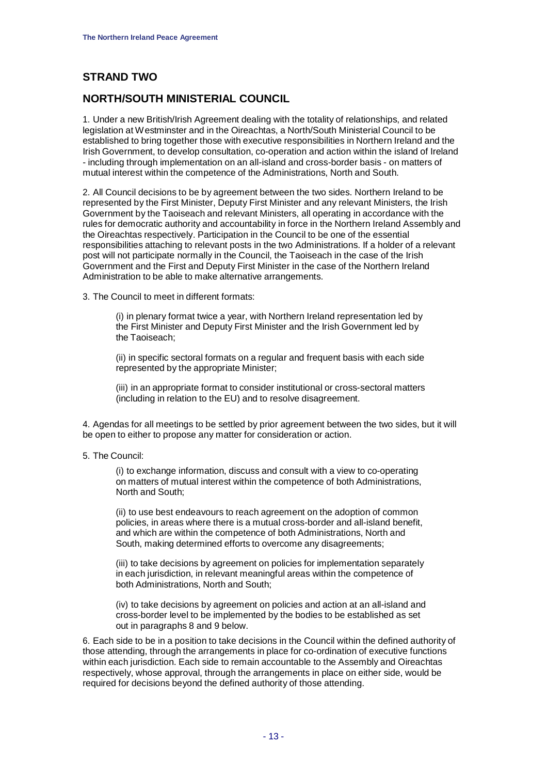# **STRAND TWO**

## **NORTH/SOUTH MINISTERIAL COUNCIL**

1. Under a new British/Irish Agreement dealing with the totalityof relationships, and related legislation at Westminster and in the Oireachtas, a North/South Ministerial Council to be established to bring together those with executive responsibilities in Northern Ireland and the Irish Government, to develop consultation, co-operation and action within the island of Ireland - including through implementation on an all-island and cross-border basis - on matters of mutual interest within the competence of the Administrations, North and South.

2. All Council decisions to be by agreement between the two sides. Northern Ireland to be represented by the First Minister, Deputy First Minister and any relevant Ministers, the Irish Government by the Taoiseach and relevant Ministers, all operating in accordance with the rules for democratic authority and accountability in force in the Northern Ireland Assembly and the Oireachtas respectively. Participation in the Council to be one of the essential responsibilities attaching to relevant posts in the two Administrations. If a holder of a relevant post will not participate normally in the Council, the Taoiseach in the case of the Irish Government and the First and Deputy First Minister in the case of the Northern Ireland Administration to be able to make alternative arrangements.

3. The Council to meet in different formats:

(i) in plenary format twice a year, with Northern Ireland representation led by the First Minister and Deputy First Minister and the Irish Government led by the Taoiseach;

(ii) in specific sectoral formats on a regular and frequent basis with each side represented by the appropriate Minister;

(iii) in an appropriate format to consider institutional or cross-sectoral matters (including in relation to the EU) and to resolve disagreement.

4. Agendas for all meetings to be settled by prior agreement between the two sides, but it will be open to either to propose any matter for consideration or action.

#### 5. The Council:

(i) to exchange information, discuss and consult with a view to co-operating on matters of mutual interest within the competence of both Administrations, North and South;

(ii) to use best endeavours to reach agreement on the adoption of common policies, in areas where there is a mutual cross-border and all-island benefit, and which are within the competence of both Administrations, North and South, making determined efforts to overcome any disagreements;

(iii) to take decisions by agreement on policies for implementation separately in each jurisdiction, in relevant meaningful areas within the competence of both Administrations, North and South;

(iv) to take decisions by agreement on policies and action at an all-island and cross-border level to be implemented by the bodies to be established as set out in paragraphs 8 and 9 below.

6. Each side to be in a position to take decisions in the Council within the defined authorityof those attending, through the arrangements in place for co-ordination of executive functions within each jurisdiction. Each side to remain accountable to the Assemblyand Oireachtas respectively, whose approval, through the arrangements in place on either side, would be required for decisions beyond the defined authorityof those attending.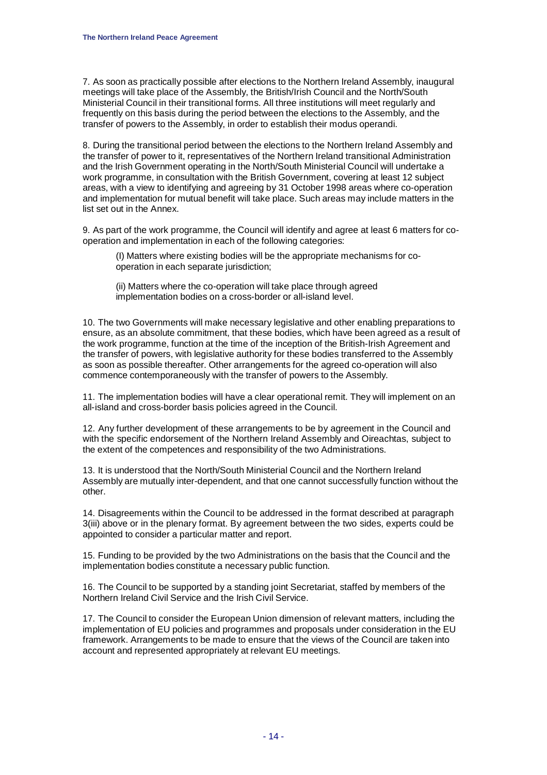7. As soon as practically possible after elections to the Northern Ireland Assembly, inaugural meetings will take place of the Assembly, the British/Irish Council and the North/South Ministerial Council in their transitional forms. All three institutions will meet regularly and frequently on this basis during the period between the elections to the Assembly, and the transfer of powers to the Assembly, in order to establish their modus operandi.

8. During the transitional period between the elections to the Northern Ireland Assemblyand the transfer of power to it, representatives of the Northern Ireland transitional Administration and the Irish Government operating in the North/South Ministerial Council will undertake a work programme, in consultation with the British Government, covering at least 12 subject areas, with a view to identifying and agreeing by 31 October 1998 areas where co-operation and implementation for mutual benefit will take place. Such areas may include matters in the list set out in the Annex.

9. As part of the work programme, the Council will identify and agree at least 6 matters for cooperation and implementation in each of the following categories:

(I) Matters where existing bodies will be the appropriate mechanisms for cooperation in each separate jurisdiction;

(ii) Matters where the co-operation will take place through agreed implementation bodies on a cross-border or all-island level.

10. The two Governments will make necessary legislative and other enabling preparations to ensure, as an absolute commitment, that these bodies, which have been agreed as a result of the work programme, function at the time of the inception of the British-Irish Agreement and the transfer of powers, with legislative authority for these bodies transferred to the Assembly as soon as possible thereafter. Other arrangements for the agreed co-operation will also commence contemporaneously with the transfer of powers to the Assembly.

11. The implementation bodies will have a clear operational remit. They will implement on an all-island and cross-border basis policies agreed in the Council.

12. Any further development of these arrangements to be by agreement in the Council and with the specific endorsement of the Northern Ireland Assembly and Oireachtas, subject to the extent of the competences and responsibilityof the two Administrations.

13. It is understood that the North/South Ministerial Council and the Northern Ireland Assemblyare mutually inter-dependent, and that one cannot successfully function without the other.

14. Disagreements within the Council to be addressed in the format described at paragraph 3(iii) above or in the plenary format. By agreement between the two sides, experts could be appointed to consider a particular matter and report.

15. Funding to be provided by the two Administrations on the basis that the Council and the implementation bodies constitute a necessary public function.

16. The Council to be supported by a standing joint Secretariat, staffed by members of the Northern Ireland Civil Service and the Irish Civil Service.

17. The Council to consider the European Union dimension of relevant matters, including the implementation of EU policies and programmes and proposals under consideration in the EU framework. Arrangements to be made to ensure that the views of the Council are taken into account and represented appropriately at relevant EU meetings.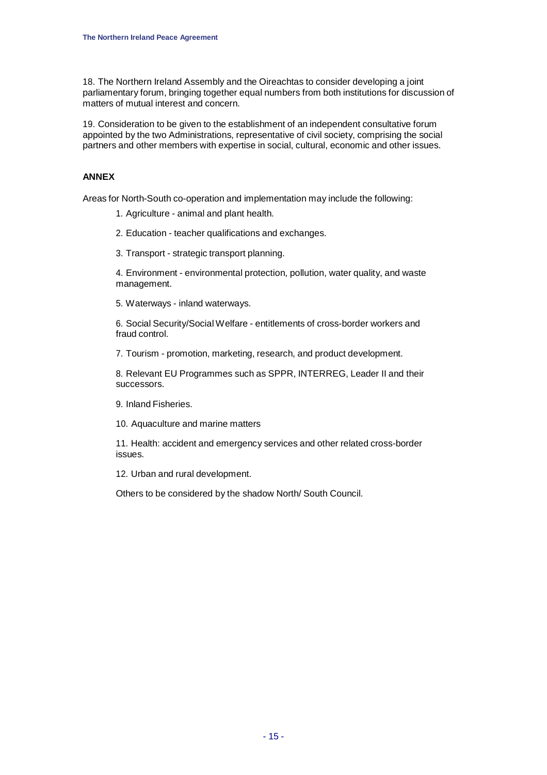18. The Northern Ireland Assembly and the Oireachtas to consider developing a joint parliamentary forum, bringing together equal numbers from both institutions for discussionof matters of mutual interest and concern.

19. Consideration to be given to the establishment of an independent consultative forum appointed by the two Administrations, representative of civil society, comprising the social partners and other members with expertise in social, cultural, economic and other issues.

#### **ANNEX**

Areas for North-South co-operation and implementation may include the following:

- 1. Agriculture animal and plant health.
- 2. Education teacher qualifications and exchanges.
- 3. Transport strategic transport planning.

4. Environment - environmental protection, pollution, water quality, and waste management.

5. Waterways - inland waterways.

6. Social Security/Social Welfare - entitlements of cross-border workers and fraud control.

7. Tourism - promotion, marketing, research, and product development.

8. Relevant EU Programmes such as SPPR, INTERREG, Leader II and their successors.

9. Inland Fisheries.

10. Aquaculture and marine matters

11. Health: accident and emergency services and other related cross-border issues.

12. Urban and rural development.

Others to be considered by the shadow North/ South Council.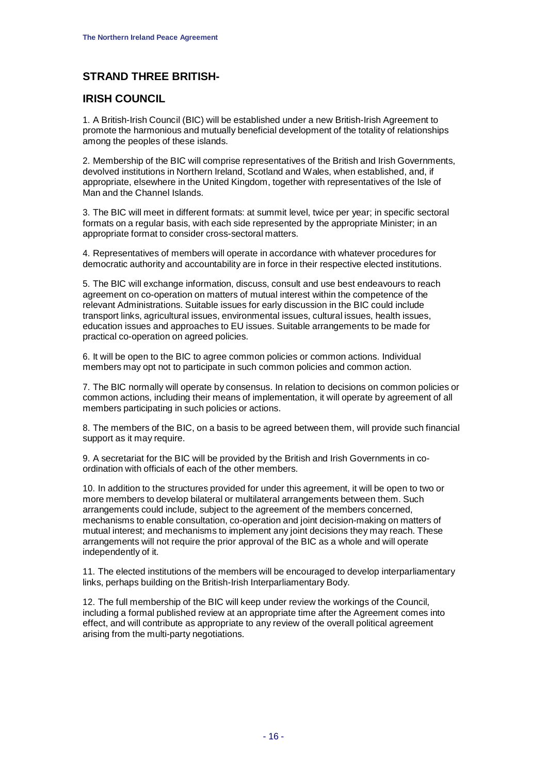# **STRAND THREE BRITISH-**

### **IRISH COUNCIL**

1. A British-Irish Council (BIC) will be established under a new British-Irish Agreement to promote the harmonious and mutually beneficial development of the totalityof relationships among the peoples of these islands.

2. Membership of the BIC will comprise representatives of the British and Irish Governments, devolved institutions in Northern Ireland, Scotland and Wales, when established, and, if appropriate, elsewhere in the United Kingdom, together with representatives of the Isle of Man and the Channel Islands.

3. The BIC will meet in different formats: at summit level, twice per year; in specific sectoral formats on a regular basis, with each side represented by the appropriate Minister; in an appropriate format to consider cross-sectoral matters.

4. Representatives of members will operate inaccordance with whatever procedures for democratic authorityand accountabilityare in force in their respective elected institutions.

5. The BIC will exchange information, discuss, consult and use best endeavours to reach agreement on co-operation on matters of mutual interest within the competence of the relevant Administrations. Suitable issues for early discussion in the BIC could include transport links, agricultural issues, environmental issues, cultural issues, health issues, education issues and approaches to EU issues. Suitable arrangements to be made for practical co-operation on agreed policies.

6. It will be open to the BIC to agree common policies or common actions. Individual members may opt not to participate in such common policies and common action.

7. The BIC normally will operate by consensus. In relation to decisions on common policies or common actions, including their means of implementation, it will operate by agreement of all members participating in such policies or actions.

8. The members of the BIC, on a basis to be agreed between them, will provide such financial support as it may require.

9. A secretariat for the BIC will be provided by the British and Irish Governments in coordination with officials of each of the other members.

10. In addition to the structures provided for under this agreement, it will be open to two or more members to develop bilateral or multilateral arrangements between them. Such arrangements could include, subject to the agreement of the members concerned, mechanisms to enable consultation, co-operation and joint decision-making on matters of mutual interest; and mechanisms to implement any joint decisions they may reach. These arrangements will not require the prior approval of the BIC as a whole and will operate independently of it.

11. The elected institutions of the members will be encouraged to develop interparliamentary links, perhaps building on the British-Irish Interparliamentary Body.

12. The full membership of the BIC will keep under review the workings of the Council, including a formal published review at an appropriate time after the Agreement comes into effect, and will contribute as appropriate to any review of the overall political agreement arising from the multi-party negotiations.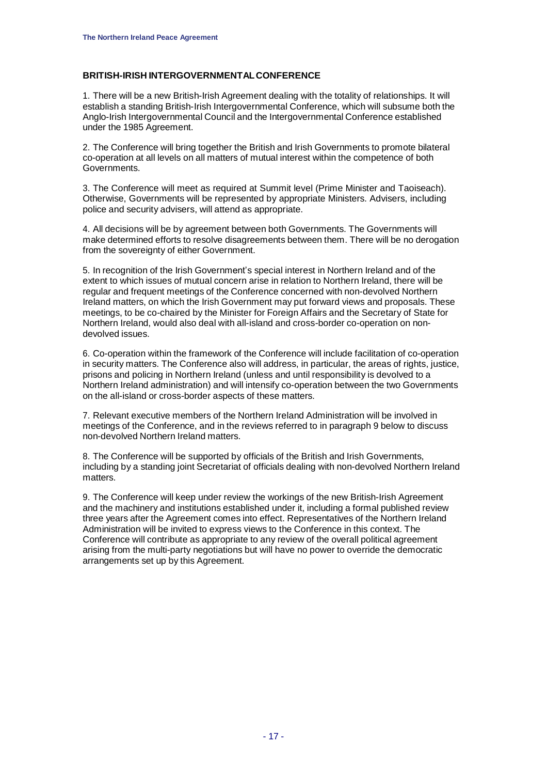#### **BRITISH-IRISH INTERGOVERNMENTALCONFERENCE**

1. There will be a new British-Irish Agreement dealing with the totality of relationships. It will establish a standing British-Irish Intergovernmental Conference, which will subsume both the Anglo-Irish Intergovernmental Counciland the Intergovernmental Conference established under the 1985 Agreement.

2. The Conference will bring together the British and Irish Governments to promote bilateral co-operation at all levels on all matters of mutual interest within the competence of both Governments.

3. The Conference will meet as required at Summit level (Prime Minister and Taoiseach). Otherwise, Governments will be represented by appropriate Ministers. Advisers, including police and securityadvisers, willattend as appropriate.

4. All decisions will be by agreement between both Governments. The Governments will make determined efforts to resolve disagreements between them. There will be no derogation from the sovereignty of either Government.

5. In recognition of the Irish Government's special interest in Northern Ireland and of the extent to which issues of mutual concern arise in relation to Northern Ireland, there will be regular and frequent meetings of the Conference concerned with non-devolved Northern Ireland matters, on which the Irish Government mayput forward views and proposals. These meetings, to be co-chaired by the Minister for Foreign Affairs and the Secretary of State for Northern Ireland, would also deal with all-island and cross-border co-operation on nondevolved issues.

6. Co-operation within the framework of the Conference will include facilitation of co-operation in security matters. The Conference also will address, in particular, the areas of rights, justice, prisons and policing in Northern Ireland (unless and until responsibility is devolved to a Northern Ireland administration) and will intensify co-operation between the two Governments on the all-island or cross-border aspects of these matters.

7. Relevant executive members of the Northern Ireland Administration will be involved in meetings of the Conference, and in the reviews referred to in paragraph 9 below to discuss non-devolved Northern Ireland matters.

8. The Conference will be supported by officials of the British and Irish Governments, including by a standing joint Secretariat of officials dealing with non-devolved Northern Ireland matters.

9. The Conference will keep under review the workings of the new British-Irish Agreement and the machinery and institutions established under it, including a formal published review three years after the Agreement comes into effect. Representatives of the Northern Ireland Administration will be invited to express views to the Conference in this context. The Conference will contribute as appropriate to any review of the overall political agreement arising from the multi-party negotiations but will have no power to override the democratic arrangements set up by this Agreement.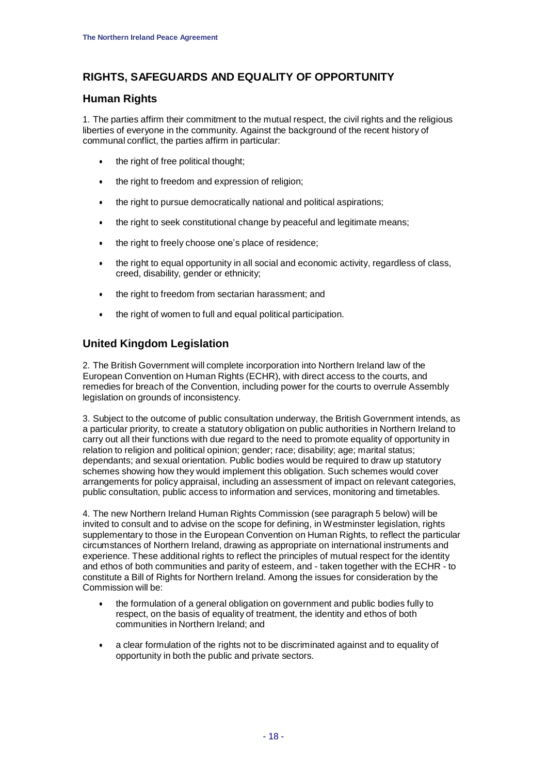# **RIGHTS, SAFEGUARDS AND EQUALITY OF OPPORTUNITY**

## **Human Rights**

1. The parties affirm their commitment to the mutual respect, the civil rights and the religious liberties of everyone in the community. Against the background of the recent historyof communal conflict, the parties affirm in particular:

- the right of free political thought:
- the right to freedom and expression of religion;
- the right to pursue democratically national and political aspirations;
- the right to seek constitutional change by peaceful and legitimate means;
- the right to freely choose one's place of residence;
- the right to equal opportunity in all social and economic activity, regardless of class, creed, disability, gender or ethnicity;
- the right to freedom from sectarian harassment; and
- the right of women to full and equal political participation.

# **United Kingdom Legislation**

2. The British Government will complete incorporation into Northern Ireland law of the European Convention on Human Rights (ECHR), with direct access to the courts, and remedies for breach of the Convention, including power for the courts to overrule Assembly legislation on grounds of inconsistency.

3. Subject to the outcome of public consultation underway, the British Government intends, as a particular priority, to create a statutory obligation on public authorities in Northern Ireland to carry out all their functions with due regard to the need to promote equality of opportunity in relation to religion and political opinion; gender; race; disability; age; marital status; dependants; and sexual orientation. Public bodies would be required to draw up statutory schemes showing how they would implement this obligation. Such schemes would cover arrangements for policyappraisal, including an assessment of impact on relevant categories, public consultation, public access to information and services, monitoring and timetables.

4. The new Northern Ireland Human Rights Commission (see paragraph 5 below) will be invited to consult and to advise on the scope for defining, in Westminster legislation, rights supplementary to those in the European Convention on Human Rights, to reflect the particular circumstances of Northern Ireland, drawing as appropriate on international instruments and experience. These additional rights to reflect the principles of mutual respect for the identity and ethos of both communities and parityof esteem, and - taken together with the ECHR - to constitute a Bill of Rights for Northern Ireland. Among the issues for consideration by the Commission will be:

- the formulation of a general obligation on government and public bodies fully to respect, on the basis of equality of treatment, the identity and ethos of both communities in Northern Ireland; and
- a clear formulation of the rights not to be discriminated against and to equality of opportunity in both the public and private sectors.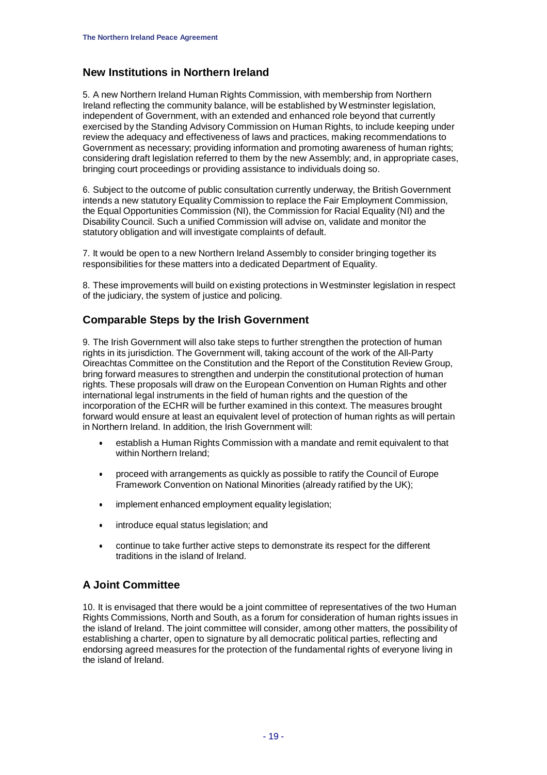# **New Institutions in Northern Ireland**

5. A new Northern Ireland Human Rights Commission, with membership from Northern Ireland reflecting the community balance, will be established by Westminster legislation, independent of Government, with an extended and enhanced role beyond that currently exercised by the Standing Advisory Commission on Human Rights, to include keeping under review the adequacy and effectiveness of laws and practices, making recommendations to Government as necessary; providing information and promoting awareness of human rights; considering draft legislation referred to them by the new Assembly; and, in appropriate cases, bringing court proceedings or providing assistance to individuals doing so.

6. Subject to the outcome of public consultation currently underway, the British Government intends a new statutory Equality Commission to replace the Fair Employment Commission, the Equal Opportunities Commission (NI), the Commission for Racial Equality (NI) and the Disability Council. Such a unified Commission will advise on, validate and monitor the statutory obligation and will investigate complaints of default.

7. It would be open to a new Northern Ireland Assembly to consider bringing together its responsibilities for these matters into a dedicated Department of Equality.

8. These improvements will build on existing protections in Westminster legislation in respect of the judiciary, the system of justice and policing.

### **Comparable Steps by the Irish Government**

9. The Irish Government will also take steps to further strengthen the protection of human rights in its jurisdiction. The Government will, taking account of the work of the All-Party Oireachtas Committee on the Constitution and the Report of the Constitution Review Group, bring forward measures to strengthen and underpin the constitutional protection of human rights. These proposals will draw on the European Convention on Human Rights and other international legal instruments in the field of human rights and the question of the incorporation of the ECHR will be further examined in this context. The measures brought forward would ensure at least an equivalent level of protection of human rights as will pertain in Northern Ireland. In addition, the Irish Government will:

- establish a Human Rights Commission with a mandate and remit equivalent to that within Northern Ireland;
- proceed with arrangements as quicklyas possible to ratify the Council of Europe Framework Convention on National Minorities (already ratified by the UK);
- implement enhanced employment equality legislation;
- introduce equal status legislation; and
- continue to take further active steps to demonstrate its respect for the different traditions in the island of Ireland.

### **A Joint Committee**

10. It is envisaged that there would be a joint committee of representatives of the two Human Rights Commissions, North and South, as a forum for consideration of human rights issues in the island of Ireland. The joint committee will consider, among other matters, the possibilityof establishing a charter, open to signature by all democratic political parties, reflecting and endorsing agreed measures for the protection of the fundamental rights of everyone living in the island of Ireland.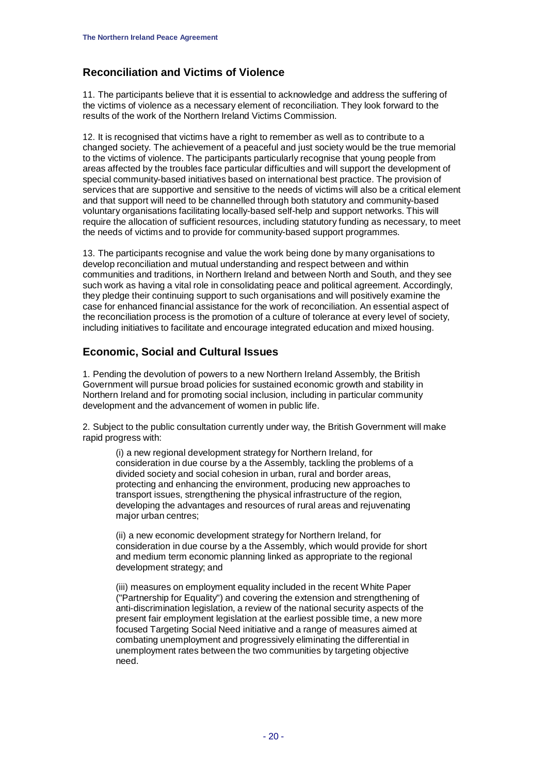# **Reconciliation and Victims of Violence**

11. The participants believe that it is essential to acknowledge and address the suffering of the victims of violence as a necessary element of reconciliation. They look forward to the results of the work of the Northern Ireland Victims Commission.

12. It is recognised that victims have a right to remember as well as to contribute to a changed society. The achievement of a peaceful and just society would be the true memorial to the victims of violence. The participants particularly recognise that young people from areas affected by the troubles face particular difficulties and will support the development of special community-based initiatives based on international best practice. The provision of services that are supportive and sensitive to the needs of victims will also be a critical element and that support will need to be channelled through both statutory and community-based voluntaryorganisations facilitating locally-based self-help and support networks. This will require the allocation of sufficient resources, including statutory funding as necessary, to meet the needs of victims and to provide for community-based support programmes.

13. The participants recognise and value the work being done by manyorganisations to develop reconciliation and mutual understanding and respect between and within communities and traditions, in Northern Ireland and between North and South, and they see such work as having a vital role in consolidating peace and political agreement. Accordingly, they pledge their continuing support to such organisations and will positively examine the case for enhanced financial assistance for the work of reconciliation. An essential aspect of the reconciliation process is the promotion of a culture of tolerance at every level of society, including initiatives to facilitate and encourage integrated education and mixed housing.

### **Economic, Social and Cultural Issues**

1. Pending the devolution of powers to a new Northern Ireland Assembly, the British Government will pursue broad policies for sustained economic growth and stability in Northern Ireland and for promoting social inclusion, including in particular community development and the advancement of women in public life.

2. Subject to the public consultation currently under way, the British Government will make rapid progress with:

(i) a new regional development strategy for Northern Ireland, for consideration in due course by a the Assembly, tackling the problems of a divided societyand social cohesion in urban, rural and border areas, protecting and enhancing the environment, producing new approaches to transport issues, strengthening the physical infrastructure of the region, developing the advantages and resources of rural areas and rejuvenating major urban centres;

(ii) a new economic development strategy for Northern Ireland, for consideration in due course by a the Assembly, which would provide for short and medium term economic planning linked as appropriate to the regional development strategy; and

(iii) measures on employment equality included in the recent White Paper ("Partnership for Equality") and covering the extension and strengthening of anti-discrimination legislation, a review of the national security aspects of the present fair employment legislation at the earliest possible time, a new more focused Targeting Social Need initiative and a range of measures aimed at combating unemployment and progressivelyeliminating the differential in unemployment rates between the two communities by targeting objective need.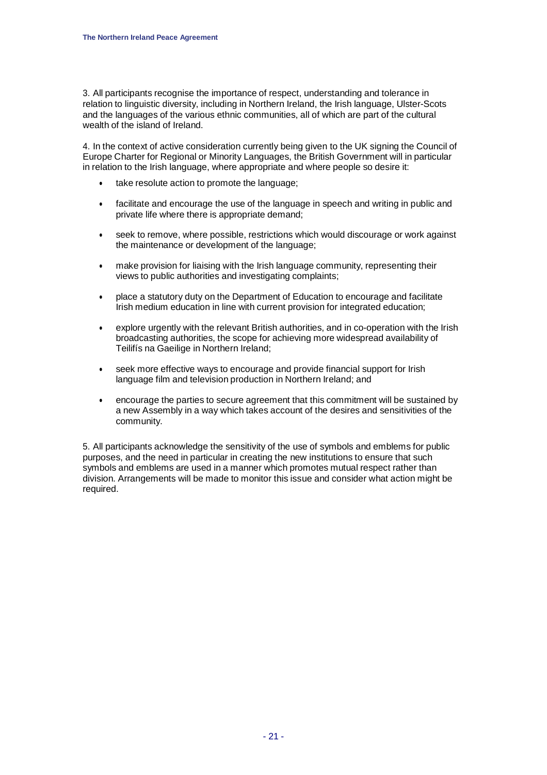3. All participants recognise the importance of respect, understanding and tolerance in relation to linguistic diversity, including in Northern Ireland, the Irish language, Ulster-Scots and the languages of the various ethnic communities, all of which are part of the cultural wealth of the island of Ireland.

4. In the context of active consideration currently being given to the UK signing the Council of Europe Charter for Regional or Minority Languages, the British Government will in particular in relation to the Irish language, where appropriate and where people so desire it:

- take resolute action to promote the language;
- facilitate and encourage the use of the language in speech and writing in public and private life where there is appropriate demand;
- seek to remove, where possible, restrictions which would discourage or work against the maintenance or development of the language;
- make provision for liaising with the Irish language community, representing their views to public authorities and investigating complaints;
- place a statutory duty on the Department of Education to encourage and facilitate Irish medium education in line with current provision for integrated education;
- explore urgently with the relevant British authorities, and in co-operation with the Irish broadcasting authorities, the scope for achieving more widespread availabilityof Teilifís na Gaeilige in Northern Ireland;
- seek more effective ways to encourage and provide financial support for Irish language film and television production in Northern Ireland; and
- encourage the parties to secure agreement that this commitment will be sustained by a new Assembly in a way which takes account of the desires and sensitivities of the community.

5. All participants acknowledge the sensitivity of the use of symbols and emblems for public purposes, and the need in particular in creating the new institutions to ensure that such symbols and emblems are used in a manner which promotes mutual respect rather than division. Arrangements will be made to monitor this issue and consider what action might be required.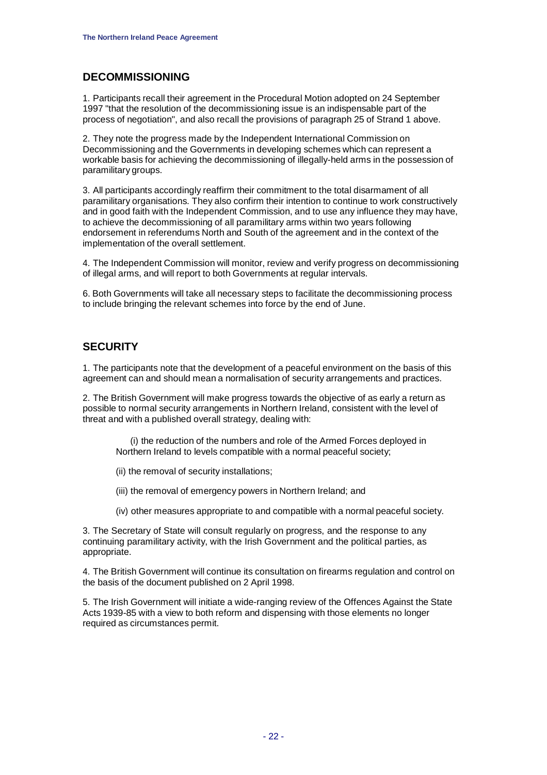# **DECOMMISSIONING**

1. Participants recall their agreement in the Procedural Motion adopted on 24 September 1997 "that the resolution of the decommissioning issue is an indispensable part of the process of negotiation", and also recall the provisions of paragraph 25 of Strand 1 above.

2. They note the progress made by the Independent International Commissionon Decommissioning and the Governments in developing schemes which can represent a workable basis for achieving the decommissioning of illegally-held arms in the possession of paramilitary groups.

3. All participants accordingly reaffirm their commitment to the total disarmament of all paramilitary organisations. They also confirm their intention to continue to work constructively and in good faith with the Independent Commission, and to use any influence they may have, to achieve the decommissioning of all paramilitary arms within two years following endorsement in referendums North and South of the agreement and in the context of the implementation of the overall settlement.

4. The Independent Commission will monitor, review and verifyprogresson decommissioning of illegal arms, and will report to both Governments at regular intervals.

6. Both Governments will take all necessary steps to facilitate the decommissioning process to include bringing the relevant schemes into force by the end of June.

# **SECURITY**

1. The participants note that the development of a peaceful environment on the basis of this agreement can and should meana normalisation of securityarrangements and practices.

2. The British Government will make progress towards the objective of as early a return as possible to normal security arrangements in Northern Ireland, consistent with the level of threat and with a published overall strategy, dealing with:

(i) the reduction of the numbers and role of the Armed Forces deployed in Northern Ireland to levels compatible with a normal peaceful society;

(ii) the removal of security installations;

- (iii) the removal of emergency powers in Northern Ireland; and
- (iv) other measures appropriate to and compatible with a normalpeaceful society.

3. The Secretary of State will consult regularly on progress, and the response to any continuing paramilitary activity, with the Irish Government and the political parties, as appropriate.

4. The British Government will continue its consultation on firearms regulation and control on the basis of the document published on 2 April 1998.

5. The Irish Government will initiate a wide-ranging review of the Offences Against the State Acts 1939-85 with a view to both reform and dispensing with those elements no longer required as circumstances permit.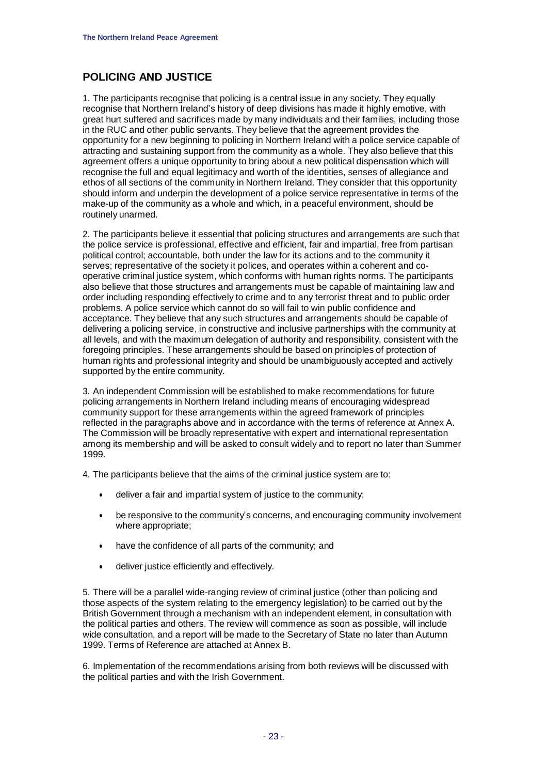# **POLICING AND JUSTICE**

1. The participants recognise that policing is a central issue in any society. Theyequally recognise that Northern Ireland's historyof deep divisions has made it highly emotive, with great hurt suffered and sacrifices made by many individuals and their families, including those in the RUC and other public servants. They believe that the agreement provides the opportunity for a new beginning to policing in Northern Ireland with a police service capable of attracting and sustaining support from the community as a whole. They also believe that this agreement offers a unique opportunity to bring about a new political dispensation which will recognise the full and equal legitimacyand worth of the identities, senses of allegiance and ethos of all sections of the community in Northern Ireland. They consider that this opportunity should inform and underpin the development of a police service representative in terms of the make-up of the community as a whole and which, in a peaceful environment, should be routinely unarmed.

2. The participants believe it essential that policing structures and arrangements are such that the police service is professional, effective and efficient, fair and impartial, free from partisan political control; accountable, both under the law for its actions and to the community it serves; representative of the society it polices, and operates within a coherent and cooperative criminal justice system, which conforms with humanrights norms. The participants also believe that those structures and arrangements must be capable of maintaining law and order including responding effectively to crime and to any terrorist threat and to public order problems. A police service which cannot do so will fail to win public confidence and acceptance. Theybelieve that any such structures and arrangements should be capable of delivering a policing service, in constructive and inclusive partnerships with the community at all levels, and with the maximum delegation of authority and responsibility, consistent with the foregoing principles. These arrangements should be based on principles of protection of human rights and professional integrity and should be unambiguously accepted and actively supported by the entire community.

3. An independent Commission will be established to make recommendations for future policing arrangements in Northern Ireland including means of encouraging widespread community support for these arrangements within the agreed framework of principles reflected in the paragraphs above and in accordance with the terms of reference at Annex A. The Commission will be broadly representative with expert and international representation among its membership and will be asked to consult widely and to report no later than Summer 1999.

4. The participants believe that the aims of the criminal justice system are to:

- deliver a fair and impartial system of justice to the community;
- be responsive to the community's concerns, and encouraging community involvement where appropriate;
- have the confidence of all parts of the community; and
- deliver justice efficiently and effectively.

5. There will be a parallel wide-ranging review of criminal justice (other than policing and those aspects of the system relating to the emergency legislation) to be carried out by the British Government through a mechanism with an independent element, in consultation with the political parties and others. The review will commence as soon as possible, will include wide consultation, and a report will be made to the Secretary of State no later than Autumn 1999. Terms of Reference are attached at Annex B.

6. Implementation of the recommendations arising from both reviews will be discussed with the political parties and with the Irish Government.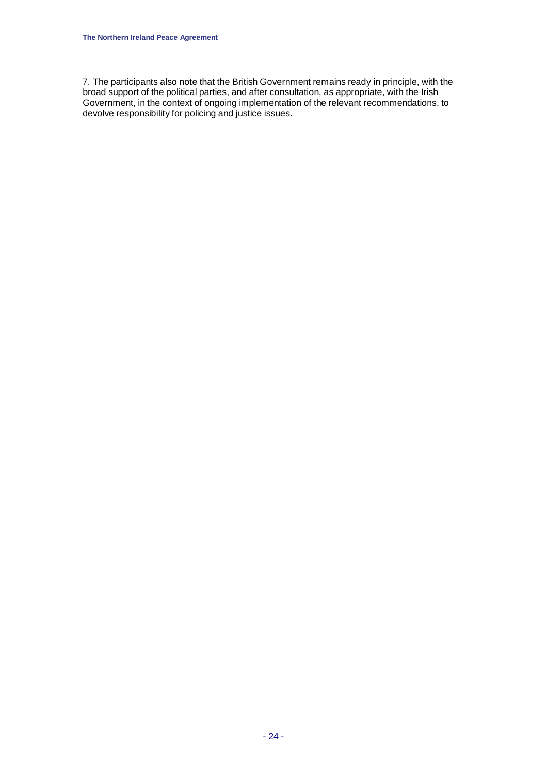7. The participants also note that the British Government remains ready in principle, with the broad support of the political parties, and after consultation, as appropriate, with the Irish Government, in the context of ongoing implementation of the relevant recommendations, to devolve responsibility for policing and justice issues.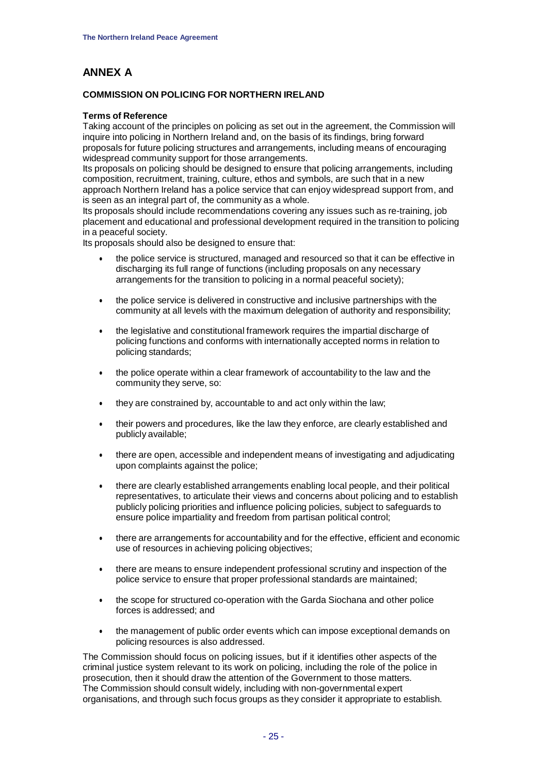# **ANNEX A**

#### **COMMISSION ON POLICING FOR NORTHERN IRELAND**

#### **Terms of Reference**

Taking account of the principles on policing as set out in the agreement, the Commission will inquire into policing in Northern Ireland and, on the basis of its findings, bring forward proposals for future policing structures and arrangements, including means of encouraging widespread community support for those arrangements.

Its proposals on policing should be designed to ensure that policing arrangements, including composition, recruitment, training, culture, ethos and symbols, are such that in a new approach Northern Ireland has a police service that can enjoy widespread support from, and is seen as an integral part of, the communityas a whole.

Its proposals should include recommendations covering any issues such as re-training, job placement and educational and professional development required in the transitionto policing in a peaceful society.

Its proposals should also be designed to ensure that:

- the police service is structured, managed and resourced so that it can be effective in discharging its full range of functions (including proposals on any necessary arrangements for the transition to policing in a normal peaceful society);
- the police service is delivered in constructive and inclusive partnerships with the community at all levels with the maximum delegation of authority and responsibility;
- the legislative and constitutionalframework requires the impartial discharge of policing functions and conforms with internationallyaccepted norms in relation to policing standards;
- the police operate within a clear framework of accountability to the law and the community they serve, so:
- theyare constrained by, accountable to and act only within the law;
- their powers and procedures, like the law they enforce, are clearlyestablished and publicly available;
- there are open, accessible and independent means of investigating and adjudicating upon complaints against the police;
- there are clearlyestablished arrangements enabling local people, and their political representatives, to articulate their views and concerns about policing and to establish publiclypolicing priorities and influence policing policies, subject to safeguards to ensure police impartiality and freedom from partisan political control;
- there are arrangements for accountability and for the effective, efficient and economic use of resources in achieving policing objectives;
- there are means to ensure independent professional scrutiny and inspection of the police service to ensure that proper professional standards are maintained;
- the scope for structured co-operation with the Garda Siochana and other police forces is addressed; and
- the management of public order events which can impose exceptional demands on policing resources is also addressed.

The Commission should focus on policing issues, but if it identifies other aspects of the criminal justice system relevant to its work on policing, including the role of the police in prosecution, then it should draw the attention of the Government to those matters. The Commission should consult widely, including with non-governmentalexpert organisations, and through such focus groups as they consider it appropriate to establish.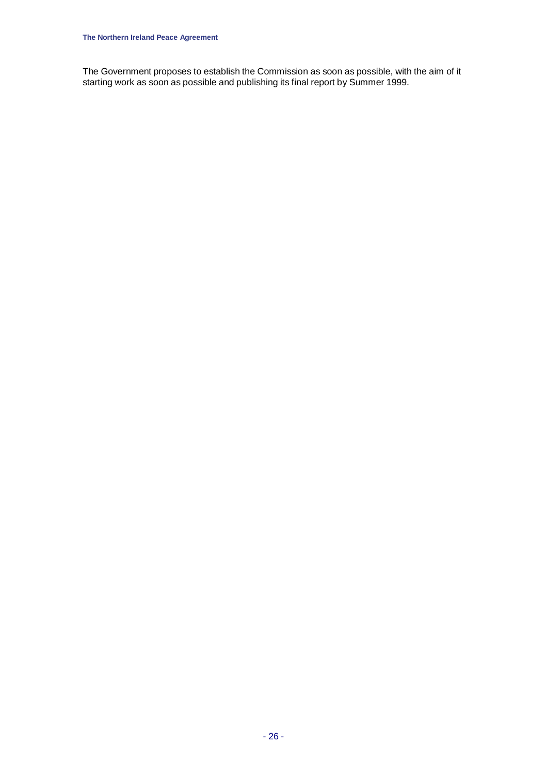The Government proposes to establish the Commission as soon as possible, with the aim of it starting work as soon as possible and publishing its final report by Summer 1999.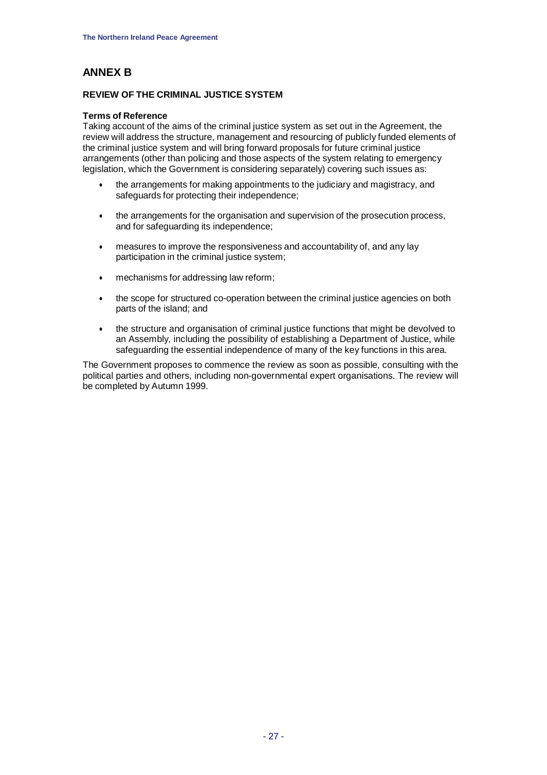# **ANNEX B**

#### **REVIEW OF THE CRIMINAL JUSTICE SYSTEM**

#### **Terms of Reference**

Taking account of the aims of the criminal justice system as set out in the Agreement, the review willaddress the structure, management and resourcing of publicly funded elements of the criminal justice system and will bring forward proposals for future criminal justice arrangements (other than policing and those aspects of the system relating to emergency legislation, which the Government is considering separately) covering such issues as:

- the arrangements for making appointments to the judiciary and magistracy, and safeguards for protecting their independence;
- the arrangements for the organisation and supervision of the prosecution process, and for safeguarding its independence;
- measures to improve the responsiveness and accountabilityof, and any lay participation in the criminal justice system;
- mechanisms for addressing law reform;
- the scope for structured co-operation between the criminal justice agencies on both parts of the island; and
- the structure and organisation of criminal justice functions that might be devolved to an Assembly, including the possibility of establishing a Department of Justice, while safeguarding the essential independence of many of the key functions in this area.

The Government proposes to commence the review as soon as possible, consulting with the political parties and others, including non-governmental expert organisations. The review will be completed by Autumn 1999.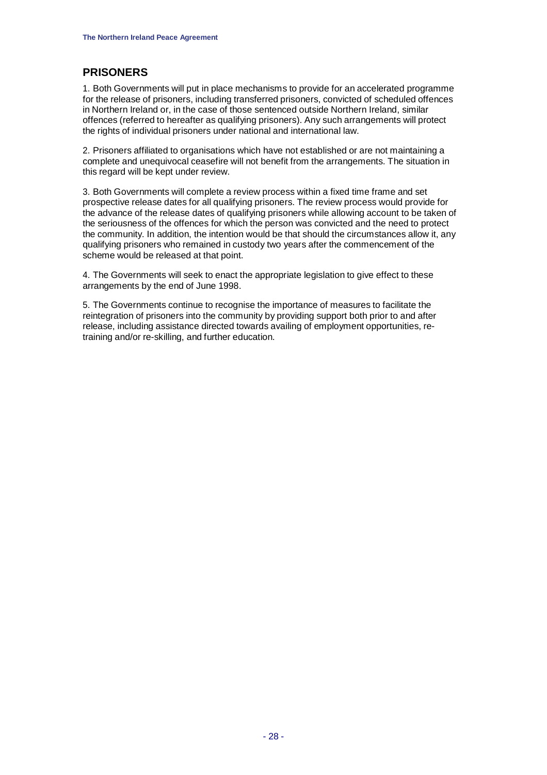# **PRISONERS**

1. Both Governments will put in place mechanisms to provide for an accelerated programme for the release of prisoners, including transferred prisoners, convicted of scheduled offences in Northern Ireland or, in the case of those sentenced outside Northern Ireland, similar offences (referred to hereafter as qualifying prisoners). Any such arrangements will protect the rights of individual prisoners under national and international law.

2. Prisoners affiliated to organisations which have not established or are not maintaining a complete and unequivocal ceasefire will not benefit from the arrangements. The situation in this regard will be kept under review.

3. Both Governments will complete a review process within a fixed time frame and set prospective release dates for all qualifying prisoners. The review process would provide for the advance of the release dates of qualifying prisoners while allowing account to be taken of the seriousness of the offences for which the person was convicted and the need to protect the community. In addition, the intention would be that should the circumstances allow it, any qualifying prisoners who remained in custody two years after the commencement of the scheme would be released at that point.

4. The Governments will seek to enact the appropriate legislation to give effect to these arrangements by the end of June 1998.

5. The Governments continue to recognise the importance of measures to facilitate the reintegration of prisoners into the community byproviding support both prior to and after release, including assistance directed towards availing of employment opportunities, retraining and/or re-skilling, and further education.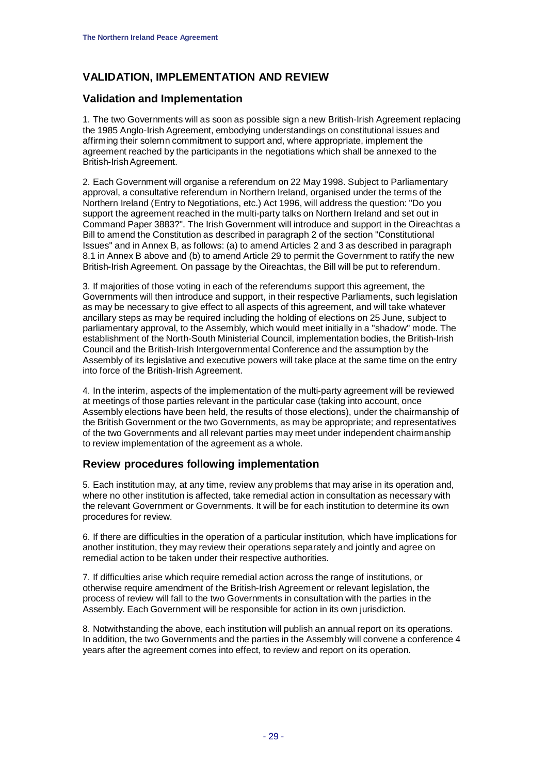# **VALIDATION, IMPLEMENTATION AND REVIEW**

### **Validation and Implementation**

1. The two Governments will as soon as possible sign a new British-Irish Agreement replacing the 1985 Anglo-Irish Agreement, embodying understandings on constitutional issuesand affirming their solemn commitment to support and, where appropriate, implement the agreement reached by the participants in the negotiations which shall be annexed to the British-IrishAgreement.

2. Each Government will organise a referendum on 22 May1998. Subject to Parliamentary approval, a consultative referendum in Northern Ireland, organised under the terms of the Northern Ireland (Entry to Negotiations, etc.) Act 1996, will address the question: "Do you support the agreement reached in the multi-party talks on Northern Ireland and set out in Command Paper 3883?". The Irish Government will introduce and support in the Oireachtas a Bill to amend the Constitution as described in paragraph 2 of the section "Constitutional Issues" and in Annex B, as follows: (a) to amend Articles 2 and 3 as described in paragraph 8.1 in Annex B above and (b) to amend Article 29 to permit the Government to ratify the new British-Irish Agreement. On passage by the Oireachtas, the Bill will be put to referendum.

3. If majorities of those voting in each of the referendums support this agreement, the Governments will then introduce and support, in their respective Parliaments, such legislation as maybe necessary to give effect to all aspects of this agreement, and will take whatever ancillary steps as may be required including the holding of elections on 25 June, subject to parliamentary approval, to the Assembly, which would meet initially in a "shadow" mode. The establishment of the North-South Ministerial Council, implementation bodies, the British-Irish Council and the British-Irish Intergovernmental Conference and the assumption by the Assembly of its legislative and executive powers will take place at the same time on the entry into force of the British-Irish Agreement.

4. In the interim, aspects of the implementation of the multi-party agreement will be reviewed at meetings of those parties relevant in the particular case (taking into account, once Assemblyelections have been held, the results of those elections), under the chairmanship of the British Government or the two Governments, as maybe appropriate; and representatives of the two Governments and all relevant parties may meet under independent chairmanship to review implementation of the agreement as a whole.

# **Review procedures following implementation**

5. Each institution may, at any time, review anyproblems that mayarise in its operation and, where no other institution is affected, take remedial action in consultation as necessary with the relevant Government or Governments. It will be for each institution to determine its own procedures for review.

6. If there are difficulties in the operation of a particular institution, which have implications for another institution, they may review their operations separatelyand jointly and agree on remedial action to be taken under their respective authorities.

7. If difficulties arise which require remedial action across the range of institutions, or otherwise require amendment of the British-Irish Agreement or relevant legislation, the process of review will fall to the two Governments in consultation with the parties in the Assembly. Each Government will be responsible for action in its own jurisdiction.

8. Notwithstanding the above, each institution will publish an annual report on its operations. In addition, the two Governments and the parties in the Assembly will convene a conference 4 years after the agreement comes into effect, to review and report on its operation.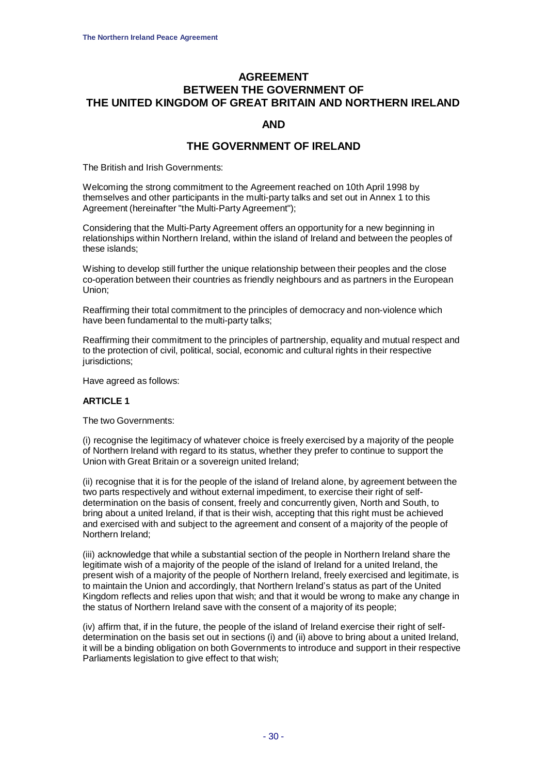### **AGREEMENT BETWEEN THE GOVERNMENT OF THE UNITED KINGDOM OF GREAT BRITAIN AND NORTHERN IRELAND**

### **AND**

## **THE GOVERNMENT OF IRELAND**

The British and Irish Governments:

Welcoming the strong commitment to the Agreement reached on 10th April 1998 by themselves and other participants in the multi-party talks and set out in Annex 1 to this Agreement (hereinafter "the Multi-Party Agreement");

Considering that the Multi-Party Agreement offers an opportunity for a new beginning in relationships within Northern Ireland, within the island of Ireland and between the peoples of these islands;

Wishing to develop still further the unique relationship between their peoples and the close co-operation between their countries as friendly neighbours and as partners in the European Union;

Reaffirming their total commitment to the principles of democracyand non-violence which have been fundamental to the multi-party talks;

Reaffirming their commitment to the principles of partnership, equalityand mutual respect and to the protection of civil, political, social, economic and cultural rights in their respective jurisdictions;

Have agreed as follows:

#### **ARTICLE 1**

The two Governments:

(i) recognise the legitimacy of whatever choice is freely exercised bya majority of the people of Northern Ireland with regard to its status, whether they prefer to continue to support the Union with Great Britain or a sovereign united Ireland;

(ii) recognise that it is for the people of the island of Ireland alone, by agreement between the two parts respectively and without external impediment, to exercise their right of selfdetermination on the basis of consent, freely and concurrently given, North and South, to bring about a united Ireland, if that is their wish, accepting that this right must be achieved and exercised with and subject to the agreement and consent of a majority of the people of Northern Ireland;

(iii) acknowledge that while a substantial section of the people in Northern Ireland share the legitimate wish of a majority of the people of the island of Ireland for a united Ireland, the present wish of a majority of the people of Northern Ireland, freely exercised and legitimate, is to maintain the Union and accordingly, that Northern Ireland's status as part of the United Kingdom reflects and relies upon that wish; and that it would be wrong to make any change in the status of Northern Ireland save with the consent of a majorityof its people;

(iv) affirm that, if in the future, the people of the island of Ireland exercise their right of selfdetermination on the basis set out in sections (i) and (ii) above to bring about a united Ireland, it will be a binding obligation on both Governments to introduce and support in their respective Parliaments legislation to give effect to that wish;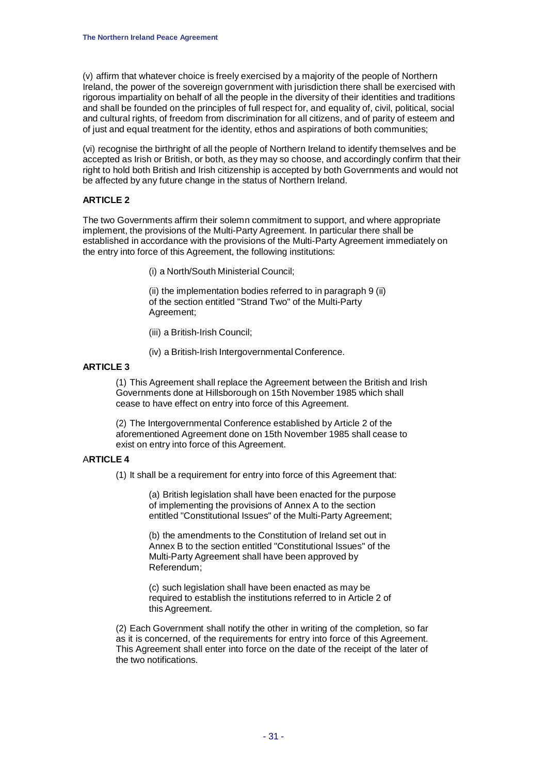(v) affirm that whatever choice is freelyexercised by a majority of the people of Northern Ireland, the power of the sovereign government with jurisdiction there shall be exercised with rigorous impartiality on behalf of all the people in the diversityof their identities and traditions and shall be founded on the principles of full respect for, and equality of, civil, political, social and cultural rights, of freedom from discrimination for all citizens, and of parity of esteem and of just and equal treatment for the identity, ethos and aspirations of both communities;

(vi) recognise the birthright of all the people of Northern Ireland to identify themselves and be accepted as Irish or British, or both, as they may so choose, and accordingly confirm that their right to hold both British and Irish citizenship is accepted by both Governments and would not be affected by any future change in the status of Northern Ireland.

#### **ARTICLE 2**

The two Governments affirm their solemn commitment to support, and where appropriate implement, the provisions of the Multi-Party Agreement. In particular there shall be established in accordance with the provisions of the Multi-Party Agreement immediately on the entry into force of this Agreement, the following institutions:

(i) a North/South Ministerial Council;

(ii) the implementation bodies referred to in paragraph 9 (ii) of the section entitled "Strand Two" of the Multi-Party Agreement;

(iii) a British-Irish Council;

(iv) a British-Irish Intergovernmental Conference.

#### **ARTICLE 3**

(1) This Agreement shall replace the Agreement between the British and Irish Governments done at Hillsborough on 15th November 1985 which shall cease to have effect on entry into force of this Agreement.

(2) The Intergovernmental Conference established by Article 2 of the aforementioned Agreement done on 15th November 1985 shall cease to exist on entry into force of this Agreement.

#### A**RTICLE 4**

(1) It shall be a requirement for entry into force of this Agreement that:

(a) British legislation shall have been enacted for the purpose of implementing the provisions of Annex A to the section entitled "Constitutional Issues" of the Multi-Party Agreement;

(b) the amendments to the Constitution of Ireland set out in Annex B to the section entitled "Constitutional Issues" of the Multi-Party Agreement shall have been approved by Referendum;

(c) such legislation shall have been enacted as may be required to establish the institutions referred to in Article 2 of this Agreement.

(2) Each Government shall notify the other in writing of the completion, so far as it is concerned, of the requirements for entry into force of this Agreement. This Agreement shall enter into force on the date of the receipt of the later of the two notifications.